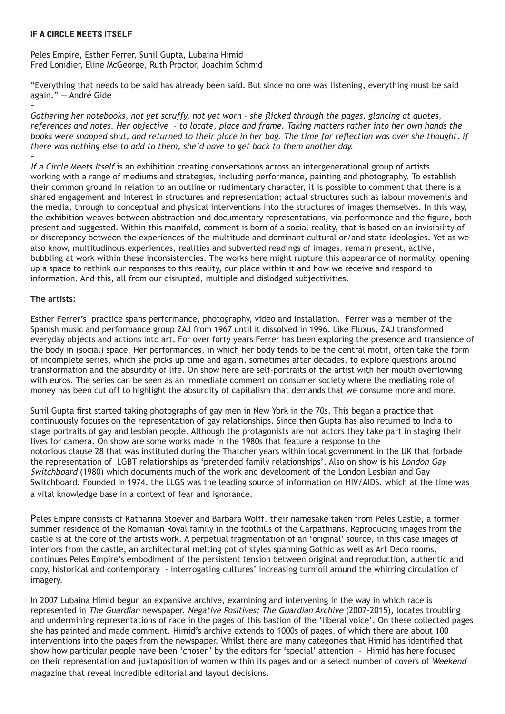## If A Circle Meets Itself

Peles Empire, Esther Ferrer, Sunil Gupta, Lubaina Himid Fred Lonidier, Eline McGeorge, Ruth Proctor, Joachim Schmid

"Everything that needs to be said has already been said. But since no one was listening, everything must be said again." — André Gide

~ *Gathering her notebooks, not yet scruffy, not yet worn - she flicked through the pages, glancing at quotes, references and notes. Her objective - to locate, place and frame. Taking matters rather into her own hands the books were snapped shut, and returned to their place in her bag. The time for reflection was over she thought, if there was nothing else to add to them, she'd have to get back to them another day.* ~

If a Circle Meets Itself is an exhibition creating conversations across an intergenerational group of artists working with a range of mediums and strategies, including performance, painting and photography. To establish their common ground in relation to an outline or rudimentary character, it is possible to comment that there is a shared engagement and interest in structures and representation; actual structures such as labour movements and the media, through to conceptual and physical interventions into the structures of images themselves. In this way, the exhibition weaves between abstraction and documentary representations, via performance and the figure, both present and suggested. Within this manifold, comment is born of a social reality, that is based on an invisibility of or discrepancy between the experiences of the multitude and dominant cultural or/and state ideologies. Yet as we also know, multitudinous experiences, realities and subverted readings of images, remain present, active, bubbling at work within these inconsistencies. The works here might rupture this appearance of normality, opening up a space to rethink our responses to this reality, our place within it and how we receive and respond to information. And this, all from our disrupted, multiple and dislodged subjectivities.

## **The artists:**

Esther Ferrer's practice spans performance, photography, video and installation. Ferrer was a member of the Spanish music and performance group ZAJ from 1967 until it dissolved in 1996. Like Fluxus, ZAJ transformed everyday objects and actions into art. For over forty years Ferrer has been exploring the presence and transience of the body in (social) space. Her performances, in which her body tends to be the central motif, often take the form of incomplete series, which she picks up time and again, sometimes after decades, to explore questions around transformation and the absurdity of life. On show here are self-portraits of the artist with her mouth overflowing with euros. The series can be seen as an immediate comment on consumer society where the mediating role of money has been cut off to highlight the absurdity of capitalism that demands that we consume more and more.

Sunil Gupta first started taking photographs of gay men in New York in the 70s. This began a practice that continuously focuses on the representation of gay relationships. Since then Gupta has also returned to India to stage portraits of gay and lesbian people. Although the protagonists are not actors they take part in staging their lives for camera. On show are some works made in the 1980s that feature a response to the notorious clause 28 that was instituted during the Thatcher years within local government in the UK that forbade the representation of LGBT relationships as 'pretended family relationships'. Also on show is his London Gay Switchboard (1980) which documents much of the work and development of the London Lesbian and Gay Switchboard. Founded in 1974, the LLGS was the leading source of information on HIV/AIDS, which at the time was a vital knowledge base in a context of fear and ignorance.

Peles Empire consists of Katharina Stoever and Barbara Wolff, their namesake taken from Peles Castle, a former summer residence of the Romanian Royal family in the foothills of the Carpathians. Reproducing images from the castle is at the core of the artists work. A perpetual fragmentation of an 'original' source, in this case images of interiors from the castle, an architectural melting pot of styles spanning Gothic as well as Art Deco rooms, continues Peles Empire's embodiment of the persistent tension between original and reproduction, authentic and copy, historical and contemporary - interrogating cultures' increasing turmoil around the whirring circulation of imagery.

In 2007 Lubaina Himid begun an expansive archive, examining and intervening in the way in which race is represented in The Guardian newspaper. Negative Positives: The Guardian Archive (2007-2015), locates troubling and undermining representations of race in the pages of this bastion of the 'liberal voice'. On these collected pages she has painted and made comment. Himid's archive extends to 1000s of pages, of which there are about 100 interventions into the pages from the newspaper. Whilst there are many categories that Himid has identified that show how particular people have been 'chosen' by the editors for 'special' attention - Himid has here focused on their representation and juxtaposition of women within its pages and on a select number of covers of Weekend magazine that reveal incredible editorial and layout decisions.